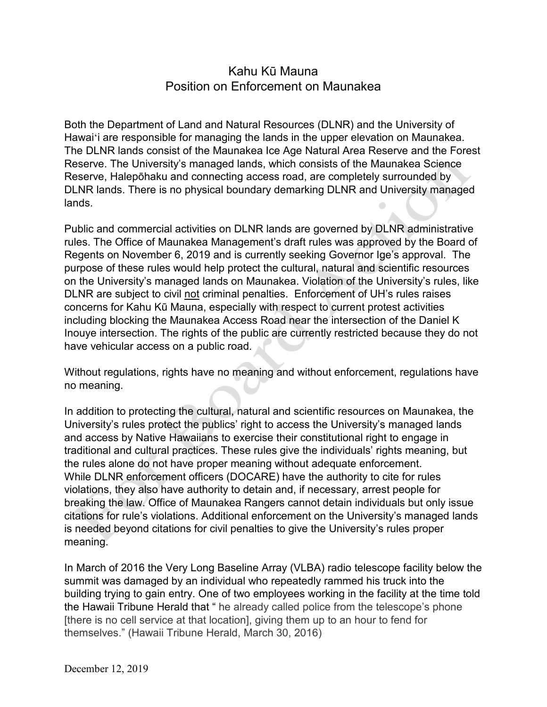## Kahu Kū Mauna Position on Enforcement on Maunakea

Both the Department of Land and Natural Resources (DLNR) and the University of Hawai'i are responsible for managing the lands in the upper elevation on Maunakea. The DLNR lands consist of the Maunakea Ice Age Natural Area Reserve and the Forest Reserve. The University's managed lands, which consists of the Maunakea Science Reserve, Halepōhaku and connecting access road, are completely surrounded by DLNR lands. There is no physical boundary demarking DLNR and University managed lands.

Public and commercial activities on DLNR lands are governed by DLNR administrative rules. The Office of Maunakea Management's draft rules was approved by the Board of Regents on November 6, 2019 and is currently seeking Governor Ige's approval. The purpose of these rules would help protect the cultural, natural and scientific resources on the University's managed lands on Maunakea. Violation of the University's rules, like DLNR are subject to civil not criminal penalties. Enforcement of UH's rules raises concerns for Kahu Kū Mauna, especially with respect to current protest activities including blocking the Maunakea Access Road near the intersection of the Daniel K Inouye intersection. The rights of the public are currently restricted because they do not have vehicular access on a public road.

Without regulations, rights have no meaning and without enforcement, regulations have no meaning.

In addition to protecting the cultural, natural and scientific resources on Maunakea, the University's rules protect the publics' right to access the University's managed lands and access by Native Hawaiians to exercise their constitutional right to engage in traditional and cultural practices. These rules give the individuals' rights meaning, but the rules alone do not have proper meaning without adequate enforcement. While DLNR enforcement officers (DOCARE) have the authority to cite for rules violations, they also have authority to detain and, if necessary, arrest people for breaking the law. Office of Maunakea Rangers cannot detain individuals but only issue citations for rule's violations. Additional enforcement on the University's managed lands is needed beyond citations for civil penalties to give the University's rules proper meaning.

In March of 2016 the Very Long Baseline Array (VLBA) radio telescope facility below the summit was damaged by an individual who repeatedly rammed his truck into the building trying to gain entry. One of two employees working in the facility at the time told the Hawaii Tribune Herald that " he already called police from the telescope's phone [there is no cell service at that location], giving them up to an hour to fend for themselves." (Hawaii Tribune Herald, March 30, 2016)